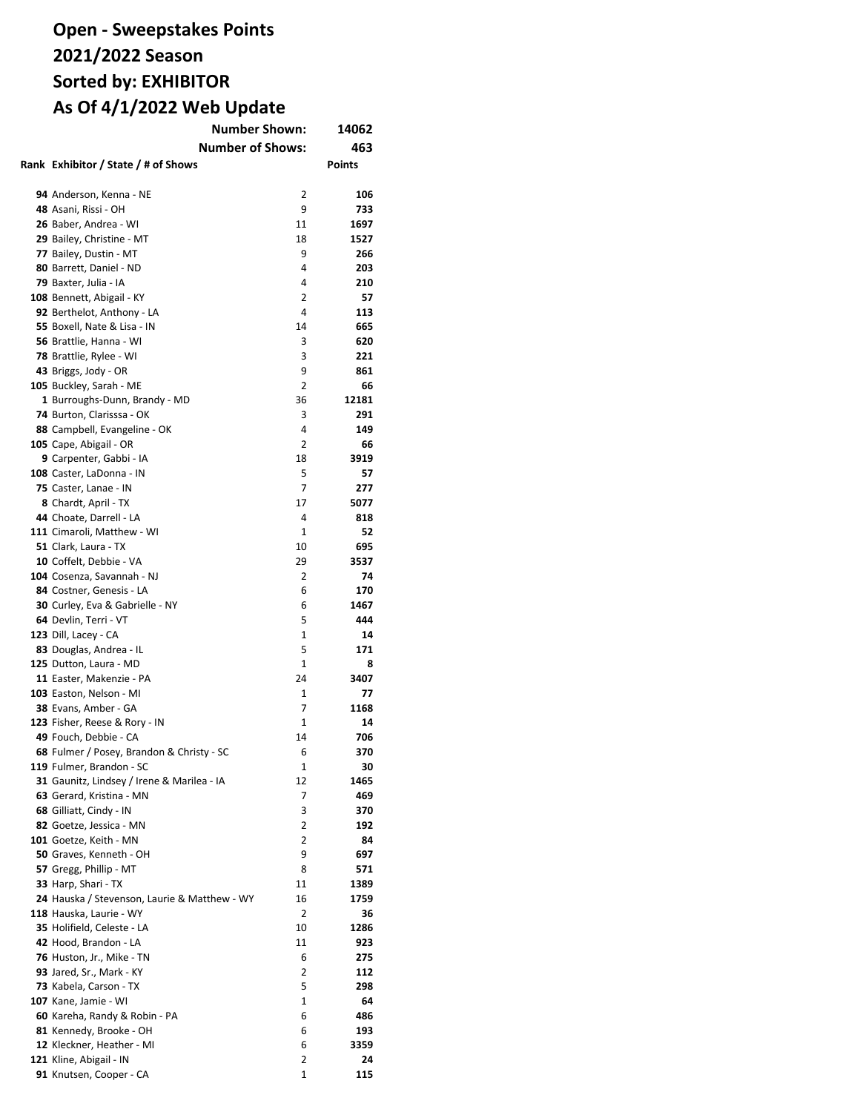| <b>Number Shown:</b>                         | 14062          |               |
|----------------------------------------------|----------------|---------------|
| <b>Number of Shows:</b>                      |                | 463           |
| Rank Exhibitor / State / # of Shows          |                | <b>Points</b> |
|                                              |                |               |
|                                              |                |               |
| 94 Anderson, Kenna - NE                      | 2              | 106           |
| 48 Asani, Rissi - OH                         | 9              | 733           |
| 26 Baber, Andrea - WI                        | 11             | 1697          |
| 29 Bailey, Christine - MT                    | 18             | 1527          |
| 77 Bailey, Dustin - MT                       | 9              | 266           |
| 80 Barrett, Daniel - ND                      | 4              | 203           |
| 79 Baxter, Julia - IA                        | 4              | 210           |
| 108 Bennett, Abigail - KY                    | 2              | 57            |
| 92 Berthelot, Anthony - LA                   | 4              | 113           |
| 55 Boxell, Nate & Lisa - IN                  | 14             | 665           |
| 56 Brattlie, Hanna - WI                      | 3              | 620           |
| 78 Brattlie, Rylee - WI                      | 3              | 221           |
| 43 Briggs, Jody - OR                         | 9              | 861           |
| 105 Buckley, Sarah - ME                      | $\overline{2}$ | 66            |
| 1 Burroughs-Dunn, Brandy - MD                | 36             | 12181         |
| 74 Burton, Clarisssa - OK                    | 3              | 291           |
| 88 Campbell, Evangeline - OK                 | 4              | 149           |
| 105 Cape, Abigail - OR                       | 2              | 66            |
| 9 Carpenter, Gabbi - IA                      | 18             | 3919          |
| 108 Caster, LaDonna - IN                     | 5              | 57            |
| 75 Caster, Lanae - IN                        | 7              | 277           |
| 8 Chardt, April - TX                         | 17             | 5077          |
| 44 Choate, Darrell - LA                      | 4              | 818           |
|                                              | $\mathbf{1}$   | 52            |
| 111 Cimaroli, Matthew - WI                   |                |               |
| 51 Clark, Laura - TX                         | 10             | 695           |
| 10 Coffelt, Debbie - VA                      | 29             | 3537          |
| 104 Cosenza, Savannah - NJ                   | 2              | 74            |
| 84 Costner, Genesis - LA                     | 6              | 170           |
| 30 Curley, Eva & Gabrielle - NY              | 6              | 1467          |
| 64 Devlin, Terri - VT                        | 5              | 444           |
| 123 Dill, Lacey - CA                         | 1              | 14            |
| 83 Douglas, Andrea - IL                      | 5              | 171           |
| 125 Dutton, Laura - MD                       | 1              | 8             |
| 11 Easter, Makenzie - PA                     | 24             | 3407          |
| 103 Easton, Nelson - MI                      | 1              | 77            |
| 38 Evans, Amber - GA                         | 7              | 1168          |
| 123 Fisher, Reese & Rory - IN                | 1              | 14            |
| 49 Fouch, Debbie - CA                        | 14             | 706           |
| 68 Fulmer / Posey, Brandon & Christy - SC    | 6              | 370           |
| 119 Fulmer, Brandon - SC                     | 1              | 30            |
| 31 Gaunitz, Lindsey / Irene & Marilea - IA   | 12             | 1465          |
| 63 Gerard, Kristina - MN                     | 7              | 469           |
| 68 Gilliatt, Cindy - IN                      | 3              | 370           |
| 82 Goetze, Jessica - MN                      | 2              | 192           |
| 101 Goetze, Keith - MN                       | 2              | 84            |
| 50 Graves, Kenneth - OH                      | 9              | 697           |
| 57 Gregg, Phillip - MT                       | 8              | 571           |
|                                              | 11             | 1389          |
| 33 Harp, Shari - TX                          |                |               |
| 24 Hauska / Stevenson, Laurie & Matthew - WY | 16             | 1759          |
| 118 Hauska, Laurie - WY                      | 2              | 36            |
| 35 Holifield, Celeste - LA                   | 10             | 1286          |
| 42 Hood, Brandon - LA                        | 11             | 923           |
| 76 Huston, Jr., Mike - TN                    | 6              | 275           |
| <b>93</b> Jared, Sr., Mark - KY              | 2              | 112           |
| 73 Kabela, Carson - TX                       | 5              | 298           |
| 107 Kane, Jamie - WI                         | 1              | 64            |
| 60 Kareha, Randy & Robin - PA                | 6              | 486           |
| 81 Kennedy, Brooke - OH                      | 6              | 193           |
| 12 Kleckner, Heather - MI                    | 6              | 3359          |
| 121 Kline, Abigail - IN                      | 2              | 24            |
| 91 Knutsen, Cooper - CA                      | 1              | 115           |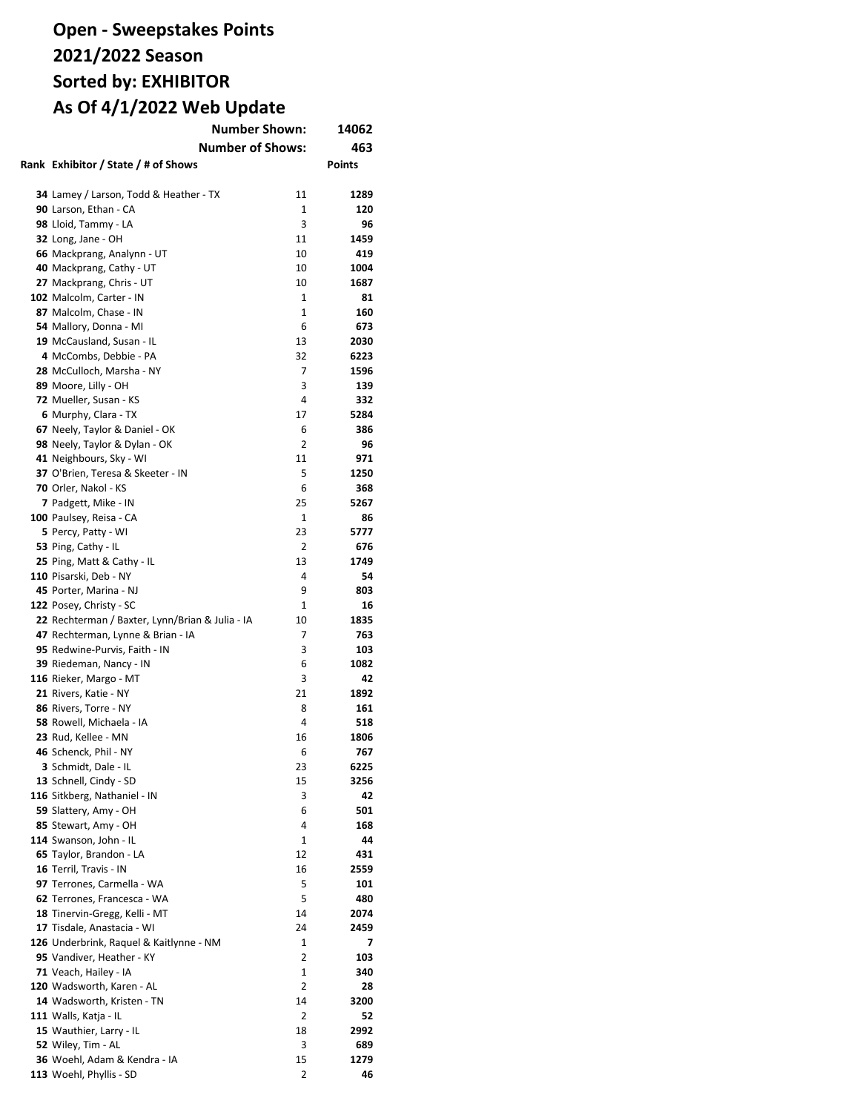| <b>Number Shown:</b>                            |                | 14062         |
|-------------------------------------------------|----------------|---------------|
| <b>Number of Shows:</b>                         |                | 463           |
| Rank Exhibitor / State / # of Shows             |                | <b>Points</b> |
|                                                 |                |               |
| 34 Lamey / Larson, Todd & Heather - TX          | 11             | 1289          |
| 90 Larson, Ethan - CA                           | 1              | 120           |
| 98 Lloid, Tammy - LA                            | 3              | 96            |
| 32 Long, Jane - OH                              | 11             | 1459          |
| 66 Mackprang, Analynn - UT                      | 10             | 419           |
| 40 Mackprang, Cathy - UT                        | 10             | 1004          |
| 27 Mackprang, Chris - UT                        | 10             | 1687          |
| 102 Malcolm, Carter - IN                        | 1              | 81            |
|                                                 | 1              | 160           |
| 87 Malcolm, Chase - IN                          | 6              |               |
| 54 Mallory, Donna - MI                          |                | 673           |
| 19 McCausland, Susan - IL                       | 13             | 2030          |
| 4 McCombs, Debbie - PA                          | 32<br>7        | 6223          |
| 28 McCulloch, Marsha - NY                       |                | 1596          |
| 89 Moore, Lilly - OH                            | 3              | 139           |
| 72 Mueller, Susan - KS                          | 4              | 332           |
| 6 Murphy, Clara - TX                            | 17             | 5284          |
| 67 Neely, Taylor & Daniel - OK                  | 6              | 386           |
| 98 Neely, Taylor & Dylan - OK                   | 2              | 96            |
| 41 Neighbours, Sky - WI                         | 11             | 971           |
| 37 O'Brien, Teresa & Skeeter - IN               | 5              | 1250          |
| 70 Orler, Nakol - KS                            | 6              | 368           |
| 7 Padgett, Mike - IN                            | 25             | 5267          |
| 100 Paulsey, Reisa - CA                         | 1              | 86            |
| 5 Percy, Patty - WI                             | 23             | 5777          |
| 53 Ping, Cathy - IL                             | $\overline{2}$ | 676           |
| 25 Ping, Matt & Cathy - IL                      | 13             | 1749          |
| 110 Pisarski, Deb - NY                          | 4              | 54            |
| 45 Porter, Marina - NJ                          | 9              | 803           |
| 122 Posey, Christy - SC                         | $\mathbf{1}$   | 16            |
| 22 Rechterman / Baxter, Lynn/Brian & Julia - IA | 10             | 1835          |
| 47 Rechterman, Lynne & Brian - IA               | 7              | 763           |
| 95 Redwine-Purvis, Faith - IN                   | 3              | 103           |
| 39 Riedeman, Nancy - IN                         | 6              | 1082          |
| 116 Rieker, Margo - MT                          | 3              | 42            |
| 21 Rivers, Katie - NY                           | 21             | 1892          |
| 86 Rivers, Torre - NY                           | 8              | 161           |
| 58 Rowell, Michaela - IA                        | 4              | 518           |
| 23 Rud, Kellee - MN                             | 16             | 1806          |
| 46 Schenck. Phil - NY                           | 6              | 767           |
| 3 Schmidt, Dale - IL                            | 23             | 6225          |
| 13 Schnell, Cindy - SD                          | 15             | 3256          |
| 116 Sitkberg, Nathaniel - IN                    | 3              | 42            |
| 59 Slattery, Amy - OH                           | 6              | 501           |
| 85 Stewart, Amy - OH                            | 4              | 168           |
| 114 Swanson, John - IL                          | 1              | 44            |
| 65 Taylor, Brandon - LA                         | 12             | 431           |
| 16 Terril, Travis - IN                          | 16             | 2559          |
| 97 Terrones, Carmella - WA                      | 5              | 101           |
| 62 Terrones, Francesca - WA                     | 5              | 480           |
| 18 Tinervin-Gregg, Kelli - MT                   | 14             | 2074          |
| 17 Tisdale, Anastacia - WI                      | 24             | 2459          |
| 126 Underbrink, Raquel & Kaitlynne - NM         | 1              | 7             |
| 95 Vandiver, Heather - KY                       | $\overline{2}$ | 103           |
| 71 Veach, Hailey - IA                           | 1              | 340           |
| 120 Wadsworth, Karen - AL                       | 2              | 28            |
| 14 Wadsworth, Kristen - TN                      | 14             | 3200          |
| 111 Walls, Katja - IL                           | 2              | 52            |
| 15 Wauthier, Larry - IL                         | 18             | 2992          |
| 52 Wiley, Tim - AL                              | 3              | 689           |
| 36 Woehl, Adam & Kendra - IA                    | 15             | 1279          |
| 113 Woehl, Phyllis - SD                         | 2              | 46            |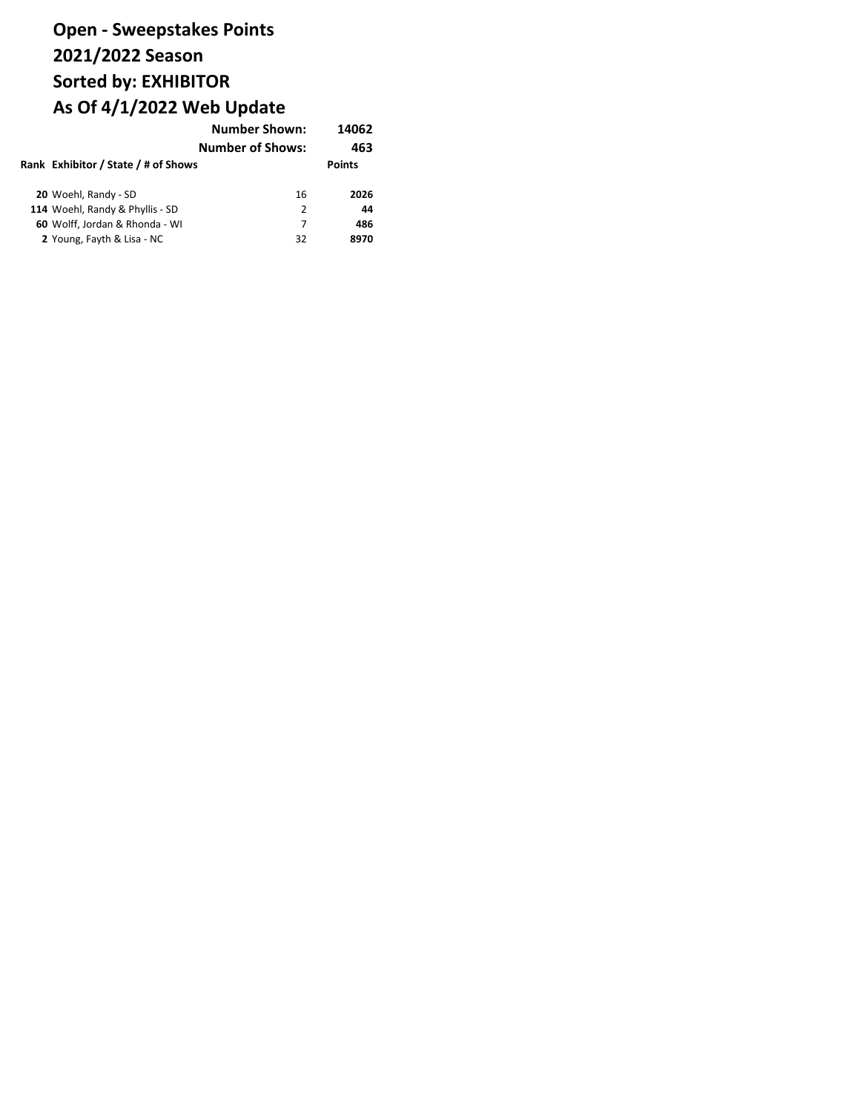|                                     | <b>Number Shown:</b>    | 14062         |
|-------------------------------------|-------------------------|---------------|
|                                     | <b>Number of Shows:</b> | 463           |
| Rank Exhibitor / State / # of Shows |                         | <b>Points</b> |
| 20 Woehl, Randy - SD                | 16                      | 2026          |
| 114 Woehl, Randy & Phyllis - SD     | 2                       | 44            |
| 60 Wolff, Jordan & Rhonda - WI      | 7                       | 486           |
| 2 Young, Fayth & Lisa - NC          | 32                      | 8970          |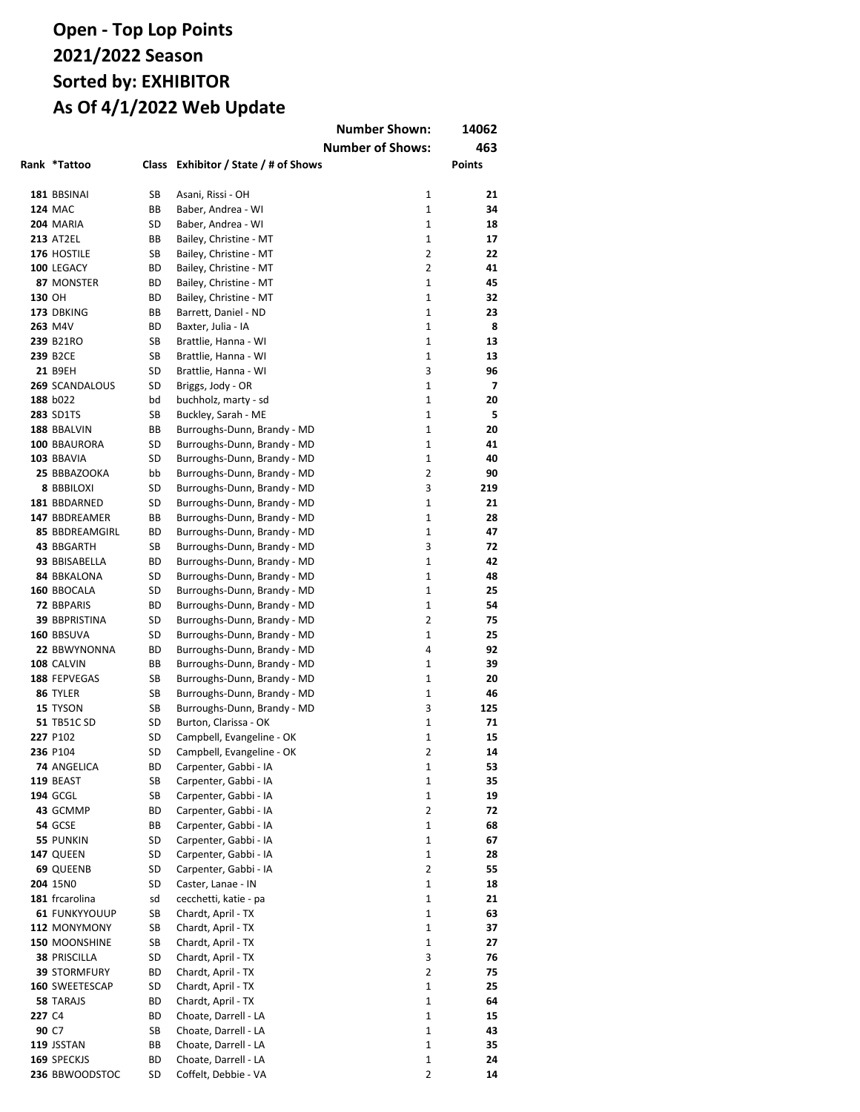|        |                                       |          |                                             | <b>Number Shown:</b>    | 14062                |
|--------|---------------------------------------|----------|---------------------------------------------|-------------------------|----------------------|
|        |                                       |          |                                             | <b>Number of Shows:</b> | 463                  |
|        | Rank *Tattoo                          | Class    | Exhibitor / State / # of Shows              |                         | <b>Points</b>        |
|        |                                       |          |                                             |                         |                      |
|        | 181 BBSINAI                           | SB       | Asani, Rissi - OH                           | $\mathbf{1}$            | 21                   |
|        | <b>124 MAC</b>                        | ВB       | Baber, Andrea - WI                          | 1                       | 34                   |
|        | 204 MARIA                             | SD       | Baber, Andrea - WI                          | $\mathbf{1}$            | 18                   |
|        | <b>213 AT2EL</b>                      | ВB       | Bailey, Christine - MT                      | $\mathbf{1}$            | 17                   |
|        | 176 HOSTILE                           | SB       | Bailey, Christine - MT                      | $\overline{2}$          | 22                   |
|        | 100 LEGACY                            | ВD       | Bailey, Christine - MT                      | 2                       | 41                   |
|        | 87 MONSTER                            | ВD       | Bailey, Christine - MT                      | $\mathbf{1}$            | 45                   |
| 130 OH |                                       | ВD       | Bailey, Christine - MT                      | $\mathbf{1}$            | 32                   |
|        | 173 DBKING                            | ВB       | Barrett, Daniel - ND                        | $\mathbf{1}$            | 23                   |
|        | 263 M4V                               | ВD       | Baxter, Julia - IA                          | $\mathbf{1}$            | 8                    |
|        | 239 B21RO                             | SB       | Brattlie, Hanna - WI                        | $\mathbf{1}$            | 13                   |
|        | 239 B2CE                              | SB       | Brattlie, Hanna - WI                        | $\mathbf{1}$            | 13                   |
|        | 21 B9EH<br>269 SCANDALOUS             | SD<br>SD | Brattlie, Hanna - WI                        | 3<br>$\mathbf{1}$       | 96<br>$\overline{7}$ |
|        | 188 b022                              | bd       | Briggs, Jody - OR                           | $\mathbf{1}$            | 20                   |
|        | <b>283 SD1TS</b>                      | SB       | buchholz, marty - sd<br>Buckley, Sarah - ME | $\mathbf{1}$            | 5                    |
|        | 188 BBALVIN                           | ВB       | Burroughs-Dunn, Brandy - MD                 | $\mathbf{1}$            | 20                   |
|        | 100 BBAURORA                          | SD       | Burroughs-Dunn, Brandy - MD                 | $\mathbf{1}$            | 41                   |
|        | 103 BBAVIA                            | SD       | Burroughs-Dunn, Brandy - MD                 | $\mathbf{1}$            | 40                   |
|        | 25 BBBAZOOKA                          | bb       | Burroughs-Dunn, Brandy - MD                 | $\overline{2}$          | 90                   |
|        | <b>8 BBBILOXI</b>                     | SD       | Burroughs-Dunn, Brandy - MD                 | 3                       | 219                  |
|        | 181 BBDARNED                          | SD       | Burroughs-Dunn, Brandy - MD                 | 1                       | 21                   |
|        | 147 BBDREAMER                         | ВB       | Burroughs-Dunn, Brandy - MD                 | 1                       | 28                   |
|        | <b>85 BBDREAMGIRL</b>                 | ВD       | Burroughs-Dunn, Brandy - MD                 | 1                       | 47                   |
|        | 43 BBGARTH                            | SB       | Burroughs-Dunn, Brandy - MD                 | 3                       | 72                   |
|        | 93 BBISABELLA                         | ВD       | Burroughs-Dunn, Brandy - MD                 | $\mathbf{1}$            | 42                   |
|        | 84 BBKALONA                           | SD       | Burroughs-Dunn, Brandy - MD                 | $\mathbf{1}$            | 48                   |
|        | 160 BBOCALA                           | SD       | Burroughs-Dunn, Brandy - MD                 | $\mathbf{1}$            | 25                   |
|        | 72 BBPARIS                            | ВD       | Burroughs-Dunn, Brandy - MD                 | 1                       | 54                   |
|        | <b>39 BBPRISTINA</b>                  | SD       | Burroughs-Dunn, Brandy - MD                 | $\overline{2}$          | 75                   |
|        | 160 BBSUVA                            | SD       | Burroughs-Dunn, Brandy - MD                 | 1                       | 25                   |
|        | 22 BBWYNONNA                          | ВD       | Burroughs-Dunn, Brandy - MD                 | 4                       | 92                   |
|        | 108 CALVIN                            | ВB       | Burroughs-Dunn, Brandy - MD                 | 1                       | 39                   |
|        | 188 FEPVEGAS                          | SB       | Burroughs-Dunn, Brandy - MD                 | $\mathbf{1}$            | 20                   |
|        | 86 TYLER                              | SB       | Burroughs-Dunn, Brandy - MD                 | $\mathbf{1}$            | 46                   |
|        | 15 TYSON                              | SB       | Burroughs-Dunn, Brandy - MD                 | 3                       | 125                  |
|        | 51 TB51C SD                           | SD       | Burton, Clarissa - OK                       | 1                       | 71                   |
|        | 227 P102                              | SD       | Campbell, Evangeline - OK                   | $\mathbf{1}$            | 15                   |
|        | 236 P104                              | SD       | Campbell, Evangeline - OK                   | 2                       | 14                   |
|        | 74 ANGELICA                           | ВD       | Carpenter, Gabbi - IA                       | 1                       | 53                   |
|        | 119 BEAST                             | SB       | Carpenter, Gabbi - IA                       | 1                       | 35                   |
|        | 194 GCGL                              | SB       | Carpenter, Gabbi - IA                       | 1                       | 19                   |
|        | 43 GCMMP                              | ВD       | Carpenter, Gabbi - IA                       | $\overline{2}$          | 72                   |
|        | <b>54 GCSE</b>                        | BВ       | Carpenter, Gabbi - IA                       | 1                       | 68                   |
|        | <b>55 PUNKIN</b>                      | SD       | Carpenter, Gabbi - IA                       | 1                       | 67                   |
|        | 147 QUEEN                             | SD       | Carpenter, Gabbi - IA                       | 1                       | 28                   |
|        | 69 QUEENB                             | SD       | Carpenter, Gabbi - IA                       | $\overline{2}$          | 55                   |
|        | 204 15NO                              | SD       | Caster, Lanae - IN                          | 1                       | 18                   |
|        | 181 frcarolina                        | sd       | cecchetti, katie - pa                       | 1                       | 21                   |
|        | <b>61 FUNKYYOUUP</b>                  | SB       | Chardt, April - TX                          | 1                       | 63                   |
|        | 112 MONYMONY                          | SB       | Chardt, April - TX                          | 1                       | 37                   |
|        | 150 MOONSHINE                         | SB       | Chardt, April - TX                          | 1                       | 27                   |
|        | <b>38 PRISCILLA</b>                   | SD       | Chardt, April - TX<br>Chardt, April - TX    | 3<br>2                  | 76                   |
|        | <b>39 STORMFURY</b><br>160 SWEETESCAP | ВD<br>SD | Chardt, April - TX                          | 1                       | 75<br>25             |
|        | 58 TARAJS                             | ВD       | Chardt, April - TX                          | 1                       | 64                   |
| 227 C4 |                                       | ВD       | Choate, Darrell - LA                        | 1                       | 15                   |
|        | 90 C7                                 | SB       | Choate, Darrell - LA                        | 1                       | 43                   |
|        | 119 JSSTAN                            | BВ       | Choate, Darrell - LA                        | $\mathbf 1$             | 35                   |
|        | 169 SPECKJS                           | ВD       | Choate, Darrell - LA                        | 1                       | 24                   |
|        | 236 BBWOODSTOC                        | SD       | Coffelt, Debbie - VA                        | $\overline{2}$          | 14                   |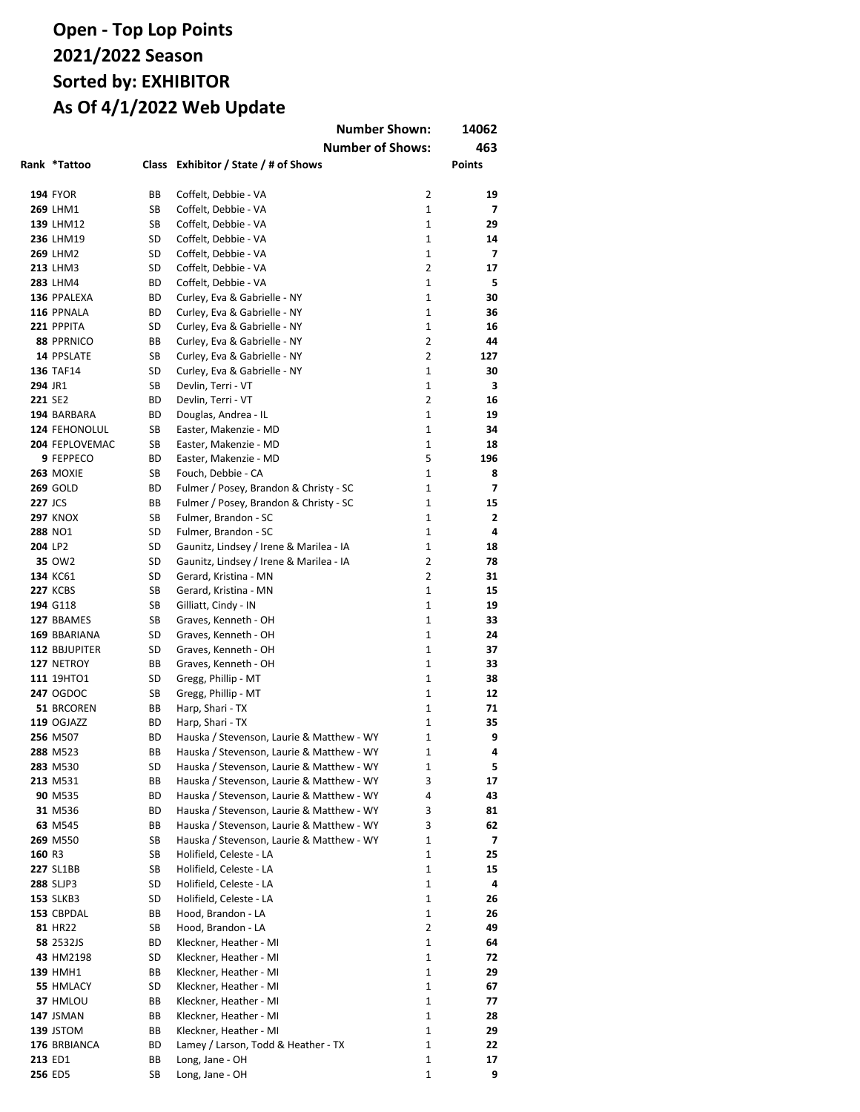|                |                            |          | <b>Number Shown:</b>                                                                   |                                | 14062          |
|----------------|----------------------------|----------|----------------------------------------------------------------------------------------|--------------------------------|----------------|
|                |                            |          | <b>Number of Shows:</b>                                                                |                                | 463            |
|                | Rank *Tattoo               | Class    | Exhibitor / State / # of Shows                                                         |                                | Points         |
|                |                            |          |                                                                                        |                                |                |
|                | <b>194 FYOR</b>            | ВB       | Coffelt, Debbie - VA                                                                   | $\overline{2}$                 | 19             |
|                | 269 LHM1                   | SB       | Coffelt, Debbie - VA                                                                   | $\mathbf{1}$                   | 7              |
|                | 139 LHM12                  | SB       | Coffelt, Debbie - VA                                                                   | $\mathbf{1}$                   | 29             |
|                | 236 LHM19                  | SD       | Coffelt, Debbie - VA                                                                   | $\mathbf{1}$                   | 14             |
|                | <b>269 LHM2</b>            | SD       | Coffelt, Debbie - VA                                                                   | $\mathbf{1}$                   | $\overline{7}$ |
|                | <b>213 LHM3</b>            | SD       | Coffelt, Debbie - VA                                                                   | $\overline{2}$<br>$\mathbf{1}$ | 17             |
|                | 283 LHM4<br>136 PPALEXA    | ВD<br>ВD | Coffelt, Debbie - VA<br>Curley, Eva & Gabrielle - NY                                   | $\mathbf{1}$                   | 5<br>30        |
|                | 116 PPNALA                 | ВD       | Curley, Eva & Gabrielle - NY                                                           | $\mathbf{1}$                   | 36             |
|                | 221 PPPITA                 | SD       | Curley, Eva & Gabrielle - NY                                                           | $\mathbf{1}$                   | 16             |
|                | 88 PPRNICO                 | ВB       | Curley, Eva & Gabrielle - NY                                                           | $\overline{2}$                 | 44             |
|                | 14 PPSLATE                 | SB       | Curley, Eva & Gabrielle - NY                                                           | $\overline{2}$                 | 127            |
|                | <b>136 TAF14</b>           | SD       | Curley, Eva & Gabrielle - NY                                                           | $\mathbf{1}$                   | 30             |
| 294 JR1        |                            | SB       | Devlin, Terri - VT                                                                     | 1                              | з              |
| 221 SE2        |                            | ВD       | Devlin, Terri - VT                                                                     | 2                              | 16             |
|                | 194 BARBARA                | BD       | Douglas, Andrea - IL                                                                   | $\mathbf{1}$                   | 19             |
|                | 124 FEHONOLUL              | SB       | Easter, Makenzie - MD                                                                  | $\mathbf{1}$                   | 34             |
|                | 204 FEPLOVEMAC             | SB       | Easter, Makenzie - MD                                                                  | 1                              | 18             |
|                | 9 FEPPECO                  | BD       | Easter, Makenzie - MD                                                                  | 5                              | 196            |
|                | 263 MOXIE                  | SB       | Fouch, Debbie - CA                                                                     | $\mathbf{1}$                   | 8              |
|                | <b>269 GOLD</b>            | BD       | Fulmer / Posey, Brandon & Christy - SC                                                 | 1                              | 7              |
| <b>227 JCS</b> |                            | BВ       | Fulmer / Posey, Brandon & Christy - SC                                                 | 1                              | 15             |
|                | <b>297 KNOX</b><br>288 NO1 | SB<br>SD | Fulmer, Brandon - SC<br>Fulmer, Brandon - SC                                           | 1<br>$\mathbf{1}$              | 2<br>4         |
| 204 LP2        |                            | SD       | Gaunitz, Lindsey / Irene & Marilea - IA                                                | 1                              | 18             |
|                | 35 OW2                     | SD       | Gaunitz, Lindsey / Irene & Marilea - IA                                                | 2                              | 78             |
|                | 134 KC61                   | SD       | Gerard, Kristina - MN                                                                  | $\overline{2}$                 | 31             |
|                | <b>227 KCBS</b>            | SB       | Gerard, Kristina - MN                                                                  | $\mathbf{1}$                   | 15             |
|                | 194 G118                   | SB       | Gilliatt, Cindy - IN                                                                   | $\mathbf{1}$                   | 19             |
|                | 127 BBAMES                 | SB       | Graves, Kenneth - OH                                                                   | $\mathbf{1}$                   | 33             |
|                | 169 BBARIANA               | SD       | Graves, Kenneth - OH                                                                   | $\mathbf{1}$                   | 24             |
|                | 112 BBJUPITER              | SD       | Graves, Kenneth - OH                                                                   | $\mathbf{1}$                   | 37             |
|                | 127 NETROY                 | BВ       | Graves, Kenneth - OH                                                                   | $\mathbf{1}$                   | 33             |
|                | 111 19HTO1                 | SD       | Gregg, Phillip - MT                                                                    | $\mathbf{1}$                   | 38             |
|                | <b>247 OGDOC</b>           | SB       | Gregg, Phillip - MT                                                                    | 1                              | 12             |
|                | 51 BRCOREN                 | BВ       | Harp, Shari - TX                                                                       | $\mathbf{1}$                   | 71             |
|                | 119 OGJAZZ                 | ВD       | Harp, Shari - TX                                                                       | 1                              | 35             |
|                | 256 M507                   | ВD       | Hauska / Stevenson, Laurie & Matthew - WY                                              | 1                              | 9              |
|                | 288 M523                   | ВB       | Hauska / Stevenson, Laurie & Matthew - WY<br>Hauska / Stevenson, Laurie & Matthew - WY | 1                              | 4<br>5         |
|                | 283 M530<br>213 M531       | SD<br>ВB | Hauska / Stevenson, Laurie & Matthew - WY                                              | 1<br>3                         | 17             |
|                | 90 M535                    | ВD       | Hauska / Stevenson, Laurie & Matthew - WY                                              | 4                              | 43             |
|                | 31 M536                    | ВD       | Hauska / Stevenson, Laurie & Matthew - WY                                              | 3                              | 81             |
|                | 63 M545                    | ВB       | Hauska / Stevenson, Laurie & Matthew - WY                                              | 3                              | 62             |
|                | 269 M550                   | SB       | Hauska / Stevenson, Laurie & Matthew - WY                                              | 1                              | 7              |
| 160 R3         |                            | SB       | Holifield, Celeste - LA                                                                | 1                              | 25             |
|                | <b>227 SL1BB</b>           | SB       | Holifield, Celeste - LA                                                                | $\mathbf{1}$                   | 15             |
|                | <b>288 SLJP3</b>           | SD       | Holifield, Celeste - LA                                                                | 1                              | 4              |
|                | <b>153 SLKB3</b>           | SD       | Holifield, Celeste - LA                                                                | 1                              | 26             |
|                | 153 CBPDAL                 | ВB       | Hood, Brandon - LA                                                                     | 1                              | 26             |
|                | 81 HR22                    | SB       | Hood, Brandon - LA                                                                     | $\overline{2}$                 | 49             |
|                | 58 2532JS                  | ВD       | Kleckner, Heather - MI                                                                 | 1                              | 64             |
|                | 43 HM2198                  | SD       | Kleckner, Heather - MI                                                                 | 1                              | 72             |
|                | <b>139 HMH1</b>            | ВB       | Kleckner, Heather - MI<br>Kleckner, Heather - MI                                       | 1<br>1                         | 29             |
|                | 55 HMLACY<br>37 HMLOU      | SD<br>ВB | Kleckner, Heather - MI                                                                 | 1                              | 67<br>77       |
|                | 147 JSMAN                  | ВB       | Kleckner, Heather - MI                                                                 | 1                              | 28             |
|                | 139 JSTOM                  | ВB       | Kleckner, Heather - MI                                                                 | 1                              | 29             |
|                | 176 BRBIANCA               | ВD       | Lamey / Larson, Todd & Heather - TX                                                    | 1                              | 22             |
|                | 213 ED1                    | ВB       | Long, Jane - OH                                                                        | 1                              | 17             |
|                | 256 ED5                    | SB       | Long, Jane - OH                                                                        | 1                              | 9              |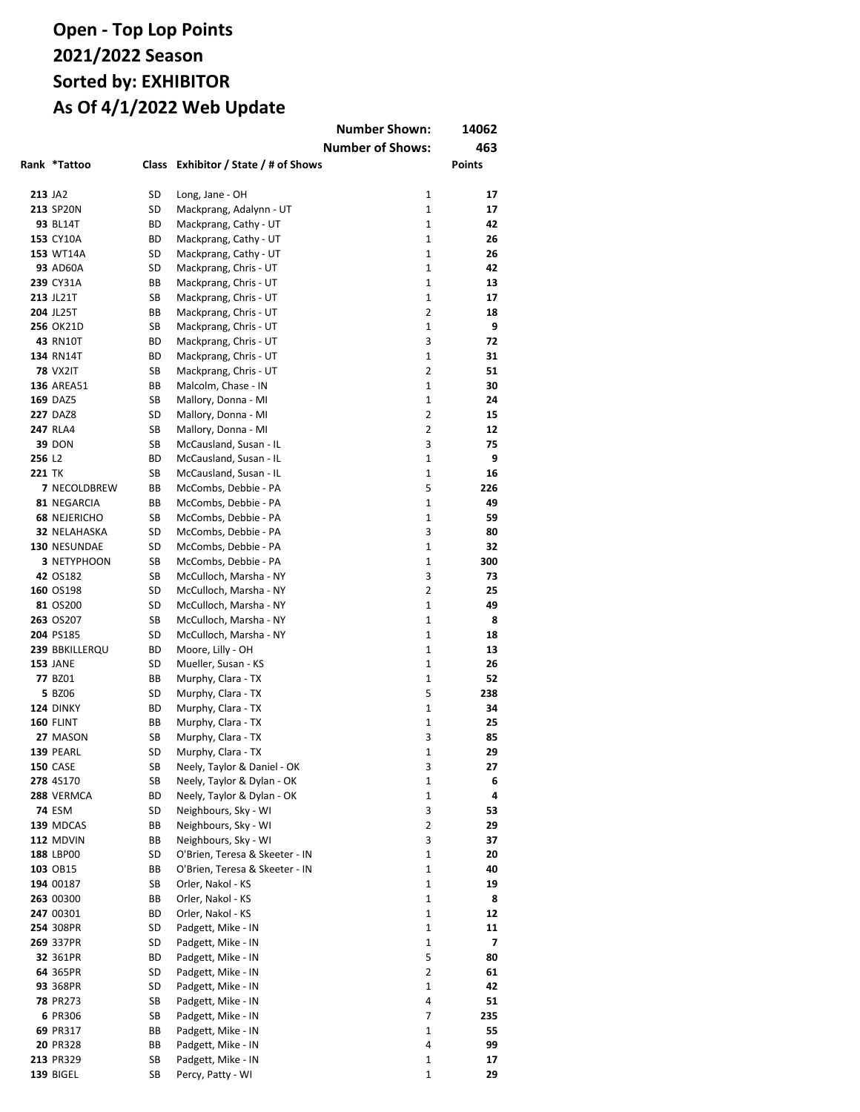|               |                                     |          |                                                | <b>Number Shown:</b>    | 14062         |
|---------------|-------------------------------------|----------|------------------------------------------------|-------------------------|---------------|
|               |                                     |          |                                                | <b>Number of Shows:</b> | 463           |
|               | Rank *Tattoo                        | Class    | Exhibitor / State / # of Shows                 |                         | <b>Points</b> |
|               |                                     |          |                                                |                         |               |
| 213 JA2       |                                     | SD       | Long, Jane - OH                                | 1                       | 17            |
|               | 213 SP20N                           | SD       | Mackprang, Adalynn - UT                        | 1                       | 17            |
|               | 93 BL14T                            | ВD       | Mackprang, Cathy - UT                          | $\mathbf{1}$            | 42            |
|               | 153 CY10A                           | ВD       | Mackprang, Cathy - UT                          | $\mathbf{1}$            | 26            |
|               | 153 WT14A                           | SD       | Mackprang, Cathy - UT                          | $\mathbf{1}$            | 26            |
|               | <b>93 AD60A</b>                     | SD       | Mackprang, Chris - UT                          | 1                       | 42            |
|               | 239 CY31A                           | ВB       | Mackprang, Chris - UT                          | $\mathbf{1}$            | 13            |
|               | 213 JL21T                           | SB       | Mackprang, Chris - UT                          | $\mathbf{1}$            | 17            |
|               | 204 JL25T                           | ВB       | Mackprang, Chris - UT                          | $\overline{2}$          | 18            |
|               | <b>256 OK21D</b>                    | SB       | Mackprang, Chris - UT                          | 1<br>3                  | 9<br>72       |
|               | 43 RN10T                            | ВD<br>ВD | Mackprang, Chris - UT                          | $\mathbf{1}$            | 31            |
|               | <b>134 RN14T</b><br><b>78 VX2IT</b> | SB       | Mackprang, Chris - UT<br>Mackprang, Chris - UT | $\overline{2}$          | 51            |
|               | <b>136 AREA51</b>                   | ВB       | Malcolm, Chase - IN                            | $\mathbf{1}$            | 30            |
|               | <b>169 DAZ5</b>                     | SB       | Mallory, Donna - MI                            | $\mathbf{1}$            | 24            |
|               | <b>227 DAZ8</b>                     | SD       | Mallory, Donna - MI                            | $\overline{2}$          | 15            |
|               | <b>247 RLA4</b>                     | SB       | Mallory, Donna - MI                            | $\overline{2}$          | 12            |
|               | <b>39 DON</b>                       | SB       | McCausland, Susan - IL                         | 3                       | 75            |
| 256 L2        |                                     | ВD       | McCausland, Susan - IL                         | $\mathbf{1}$            | 9             |
| <b>221 TK</b> |                                     | SB       | McCausland, Susan - IL                         | 1                       | 16            |
|               | 7 NECOLDBREW                        | BВ       | McCombs, Debbie - PA                           | 5                       | 226           |
|               | 81 NEGARCIA                         | ВB       | McCombs, Debbie - PA                           | 1                       | 49            |
|               | <b>68 NEJERICHO</b>                 | SB       | McCombs, Debbie - PA                           | 1                       | 59            |
|               | 32 NELAHASKA                        | SD       | McCombs, Debbie - PA                           | 3                       | 80            |
|               | 130 NESUNDAE                        | SD       | McCombs, Debbie - PA                           | 1                       | 32            |
|               | 3 NETYPHOON                         | SB       | McCombs, Debbie - PA                           | $\mathbf{1}$            | 300           |
|               | 42 OS182                            | SB       | McCulloch, Marsha - NY                         | 3                       | 73            |
|               | 160 OS198                           | SD       | McCulloch, Marsha - NY                         | $\overline{2}$          | 25            |
|               | 81 OS200                            | SD       | McCulloch, Marsha - NY                         | 1                       | 49            |
|               | 263 OS207                           | SB       | McCulloch, Marsha - NY                         | $\mathbf{1}$            | 8             |
|               | 204 PS185                           | SD       | McCulloch, Marsha - NY                         | $\mathbf{1}$            | 18            |
|               | 239 BBKILLERQU<br><b>153 JANE</b>   | ВD<br>SD | Moore, Lilly - OH<br>Mueller, Susan - KS       | $\mathbf{1}$<br>1       | 13<br>26      |
|               | 77 BZ01                             | ВB       | Murphy, Clara - TX                             | $\mathbf{1}$            | 52            |
|               | 5 BZ06                              | SD       | Murphy, Clara - TX                             | 5                       | 238           |
|               | 124 DINKY                           | ВD       | Murphy, Clara - TX                             | $\mathbf{1}$            | 34            |
|               | <b>160 FLINT</b>                    | ВB       | Murphy, Clara - TX                             | 1                       | 25            |
|               | 27 MASON                            | SB       | Murphy, Clara - TX                             | 3                       | 85            |
|               | <b>139 PEARL</b>                    | SD       | Murphy, Clara - TX                             | 1                       | 29            |
|               | <b>150 CASE</b>                     | SB       | Neely, Taylor & Daniel - OK                    | 3                       | 27            |
|               | 278 4S170                           | SB       | Neely, Taylor & Dylan - OK                     | 1                       | 6             |
|               | 288 VERMCA                          | ВD       | Neely, Taylor & Dylan - OK                     | 1                       | 4             |
|               | <b>74 ESM</b>                       | SD       | Neighbours, Sky - WI                           | 3                       | 53            |
|               | 139 MDCAS                           | BВ       | Neighbours, Sky - WI                           | 2                       | 29            |
|               | 112 MDVIN                           | BВ       | Neighbours, Sky - WI                           | 3                       | 37            |
|               | 188 LBP00                           | SD       | O'Brien, Teresa & Skeeter - IN                 | 1                       | 20            |
|               | 103 OB15                            | ВB       | O'Brien, Teresa & Skeeter - IN                 | 1                       | 40            |
|               | 194 00187                           | SB       | Orler, Nakol - KS                              | 1                       | 19            |
|               | 263 00300                           | BВ       | Orler, Nakol - KS                              | 1                       | 8             |
|               | 247 00301                           | ВD       | Orler, Nakol - KS                              | 1                       | 12            |
|               | 254 308PR                           | SD       | Padgett, Mike - IN                             | 1                       | 11            |
|               | 269 337PR                           | SD<br>ВD | Padgett, Mike - IN                             | 1<br>5                  | 7<br>80       |
|               | 32 361PR<br>64 365PR                | SD       | Padgett, Mike - IN<br>Padgett, Mike - IN       | 2                       | 61            |
|               | 93 368PR                            | SD       | Padgett, Mike - IN                             | 1                       | 42            |
|               | <b>78 PR273</b>                     | SB       | Padgett, Mike - IN                             | 4                       | 51            |
|               | 6 PR306                             | SB       | Padgett, Mike - IN                             | 7                       | 235           |
|               | 69 PR317                            | ВB       | Padgett, Mike - IN                             | 1                       | 55            |
|               | 20 PR328                            | BВ       | Padgett, Mike - IN                             | 4                       | 99            |
|               | 213 PR329                           | SB       | Padgett, Mike - IN                             | 1                       | 17            |
|               | 139 BIGEL                           | SB       | Percy, Patty - WI                              | 1                       | 29            |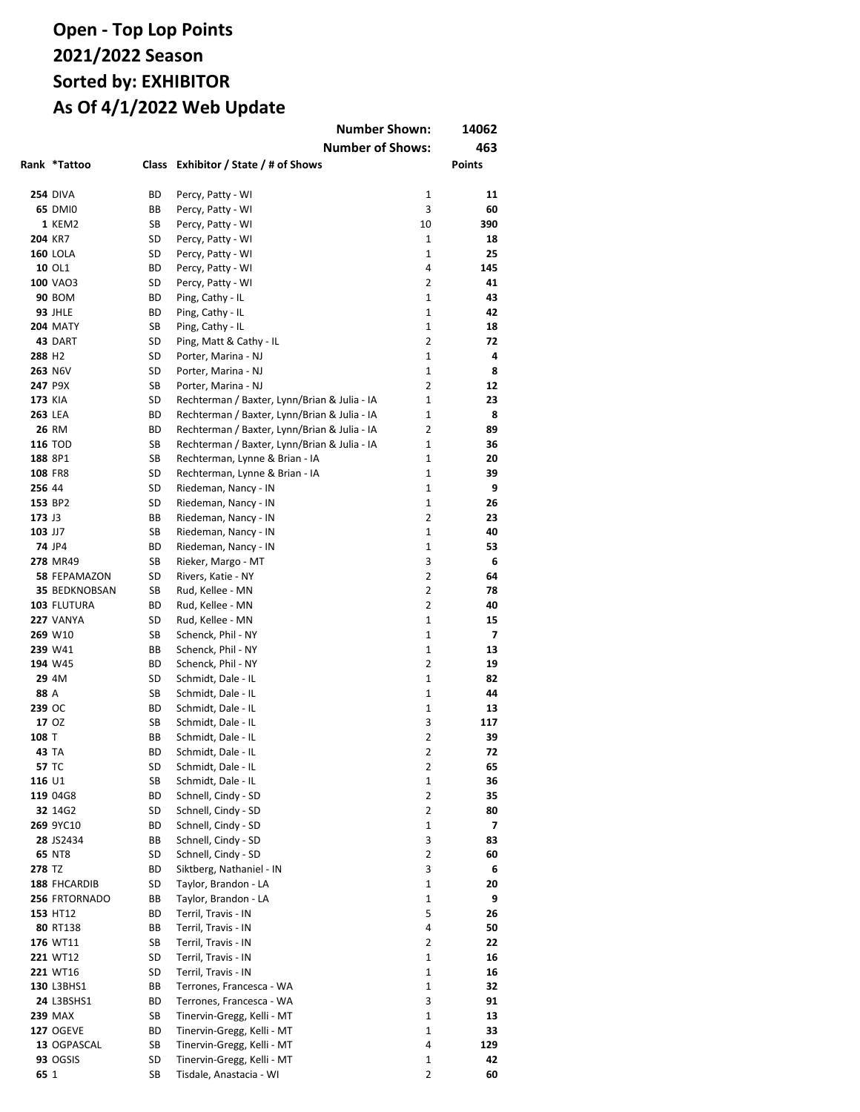|                    |                                    |          | <b>Number Shown:</b>                                     |                              | 14062         |
|--------------------|------------------------------------|----------|----------------------------------------------------------|------------------------------|---------------|
|                    |                                    |          | <b>Number of Shows:</b>                                  |                              | 463           |
|                    | Rank *Tattoo                       |          | Class Exhibitor / State / # of Shows                     |                              | <b>Points</b> |
|                    |                                    |          |                                                          |                              |               |
|                    | <b>254 DIVA</b>                    | BD       | Percy, Patty - WI                                        | 1                            | 11            |
|                    | <b>65 DMI0</b>                     | BВ       | Percy, Patty - WI                                        | 3                            | 60            |
|                    | <b>1 KEM2</b>                      | SB       | Percy, Patty - WI                                        | 10                           | 390           |
| 204 KR7            |                                    | SD       | Percy, Patty - WI                                        | 1                            | 18            |
|                    | <b>160 LOLA</b>                    | SD       | Percy, Patty - WI                                        | $\mathbf{1}$                 | 25            |
|                    | 10 OL1                             | ВD       | Percy, Patty - WI                                        | 4                            | 145           |
|                    | 100 VAO3                           | SD       | Percy, Patty - WI                                        | $\overline{2}$               | 41            |
|                    | <b>90 BOM</b>                      | ВD<br>ВD | Ping, Cathy - IL                                         | $\mathbf{1}$<br>$\mathbf{1}$ | 43<br>42      |
|                    | <b>93 JHLE</b><br><b>204 MATY</b>  | SB       | Ping, Cathy - IL<br>Ping, Cathy - IL                     | $\mathbf{1}$                 | 18            |
|                    | 43 DART                            | SD       | Ping, Matt & Cathy - IL                                  | $\overline{2}$               | 72            |
| 288 H <sub>2</sub> |                                    | SD       | Porter, Marina - NJ                                      | $\mathbf{1}$                 | 4             |
|                    | 263 N6V                            | SD       | Porter, Marina - NJ                                      | $\mathbf{1}$                 | 8             |
|                    | 247 P9X                            | SB       | Porter, Marina - NJ                                      | $\overline{2}$               | 12            |
| <b>173 KIA</b>     |                                    | SD       | Rechterman / Baxter, Lynn/Brian & Julia - IA             | 1                            | 23            |
| <b>263 LEA</b>     |                                    | ВD       | Rechterman / Baxter, Lynn/Brian & Julia - IA             | $\mathbf{1}$                 | 8             |
|                    | 26 RM                              | ВD       | Rechterman / Baxter, Lynn/Brian & Julia - IA             | 2                            | 89            |
|                    | <b>116 TOD</b>                     | SB       | Rechterman / Baxter, Lynn/Brian & Julia - IA             | $\mathbf{1}$                 | 36            |
| 188 8P1            |                                    | SB       | Rechterman, Lynne & Brian - IA                           | $\mathbf{1}$                 | 20            |
| 108 FR8            |                                    | SD       | Rechterman, Lynne & Brian - IA                           | $\mathbf{1}$                 | 39            |
| 256 44             |                                    | SD       | Riedeman, Nancy - IN                                     | $\mathbf{1}$                 | 9             |
|                    | 153 BP2                            | SD       | Riedeman, Nancy - IN                                     | 1                            | 26            |
| 173 J3             |                                    | ВB       | Riedeman, Nancy - IN                                     | 2                            | 23            |
| 103 JJ7            |                                    | SB       | Riedeman, Nancy - IN                                     | 1                            | 40            |
|                    | <b>74 JP4</b><br>278 MR49          | ВD<br>SB | Riedeman, Nancy - IN                                     | 1<br>3                       | 53<br>6       |
|                    | 58 FEPAMAZON                       | SD       | Rieker, Margo - MT<br>Rivers, Katie - NY                 | $\overline{2}$               | 64            |
|                    | <b>35 BEDKNOBSAN</b>               | SB       | Rud, Kellee - MN                                         | $\overline{2}$               | 78            |
|                    | 103 FLUTURA                        | ВD       | Rud, Kellee - MN                                         | 2                            | 40            |
|                    | <b>227 VANYA</b>                   | SD       | Rud, Kellee - MN                                         | $\mathbf{1}$                 | 15            |
|                    | 269 W10                            | SB       | Schenck, Phil - NY                                       | $\mathbf{1}$                 | 7             |
|                    | 239 W41                            | ВB       | Schenck, Phil - NY                                       | $\mathbf{1}$                 | 13            |
|                    | 194 W45                            | ВD       | Schenck, Phil - NY                                       | $\overline{2}$               | 19            |
|                    | 29 4M                              | SD       | Schmidt, Dale - IL                                       | $\mathbf{1}$                 | 82            |
| 88 A               |                                    | SB       | Schmidt, Dale - IL                                       | $\mathbf{1}$                 | 44            |
| 239 OC             |                                    | ВD       | Schmidt, Dale - IL                                       | $\mathbf{1}$                 | 13            |
|                    | 17 OZ                              | SB       | Schmidt, Dale - IL                                       | 3                            | 117           |
| 108 T              |                                    | ВB       | Schmidt, Dale - IL                                       | $\overline{2}$               | 39            |
|                    | 43 TA                              | ВD       | Schmidt, Dale - IL                                       | 2                            | 72            |
|                    | 57 TC                              | SD       | Schmidt, Dale - IL                                       | 2                            | 65            |
| 116 U1             |                                    | SB       | Schmidt, Dale - IL<br>Schnell, Cindy - SD                | 1<br>2                       | 36            |
|                    | 119 04G8<br>32 14G2                | ВD<br>SD | Schnell, Cindy - SD                                      | 2                            | 35<br>80      |
|                    | 269 9YC10                          | ВD       | Schnell, Cindy - SD                                      | 1                            | 7             |
|                    | 28 JS2434                          | ВB       | Schnell, Cindy - SD                                      | 3                            | 83            |
|                    | 65 NT8                             | SD       | Schnell, Cindy - SD                                      | 2                            | 60            |
| 278 TZ             |                                    | ВD       | Siktberg, Nathaniel - IN                                 | 3                            | 6             |
|                    | 188 FHCARDIB                       | SD       | Taylor, Brandon - LA                                     | 1                            | 20            |
|                    | 256 FRTORNADO                      | ВB       | Taylor, Brandon - LA                                     | 1                            | 9             |
|                    | 153 HT12                           | ВD       | Terril, Travis - IN                                      | 5                            | 26            |
|                    | 80 RT138                           | ВB       | Terril, Travis - IN                                      | 4                            | 50            |
|                    | 176 WT11                           | SB       | Terril, Travis - IN                                      | 2                            | 22            |
|                    | 221 WT12                           | SD       | Terril, Travis - IN                                      | 1                            | 16            |
|                    | 221 WT16                           | SD       | Terril, Travis - IN                                      | 1                            | 16            |
|                    | 130 L3BHS1                         | ВB       | Terrones, Francesca - WA                                 | 1                            | 32            |
|                    | 24 L3BSHS1                         | ВD       | Terrones, Francesca - WA                                 | 3                            | 91            |
|                    | <b>239 MAX</b><br><b>127 OGEVE</b> | SB<br>ВD | Tinervin-Gregg, Kelli - MT<br>Tinervin-Gregg, Kelli - MT | 1<br>1                       | 13<br>33      |
|                    | 13 OGPASCAL                        | SB       | Tinervin-Gregg, Kelli - MT                               | 4                            | 129           |
|                    | <b>93 OGSIS</b>                    | SD       | Tinervin-Gregg, Kelli - MT                               | 1                            | 42            |
| 65 1               |                                    | SB       | Tisdale, Anastacia - WI                                  | 2                            | 60            |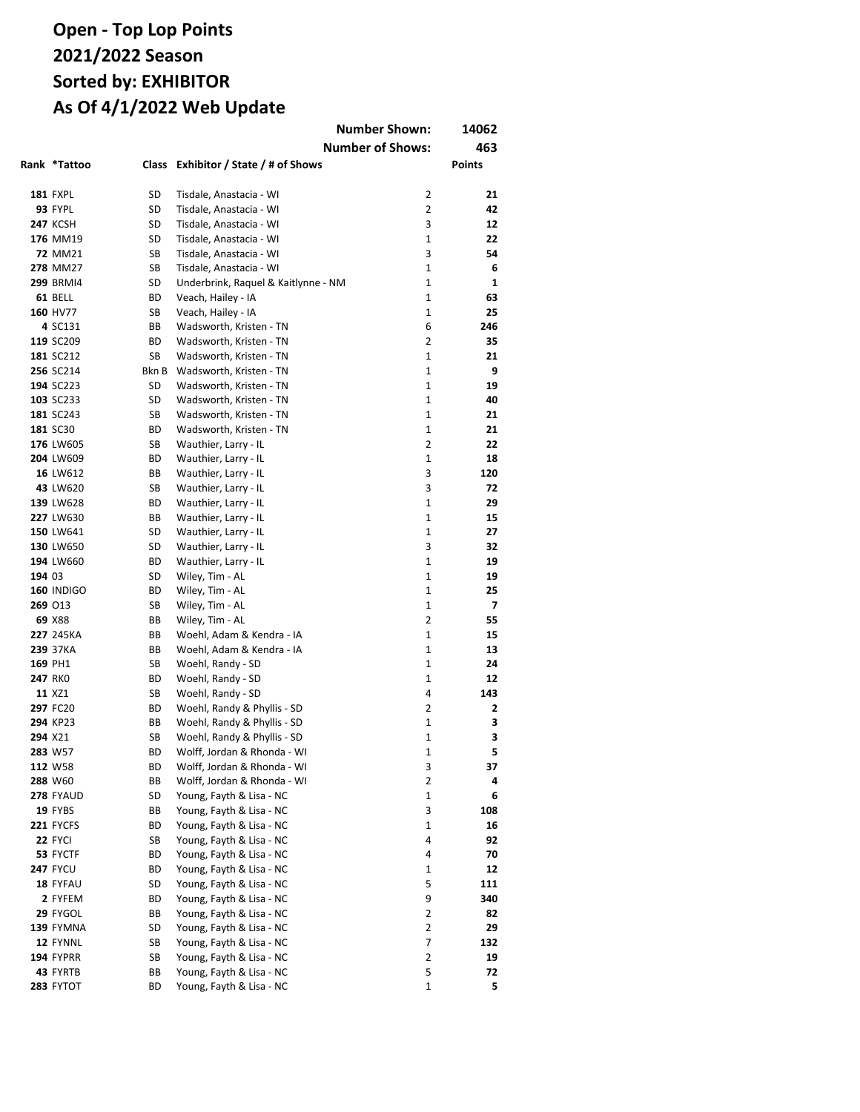|        |                    |          |                                                            | <b>Number Shown:</b>    | 14062         |
|--------|--------------------|----------|------------------------------------------------------------|-------------------------|---------------|
|        |                    |          |                                                            | <b>Number of Shows:</b> | 463           |
|        | Rank *Tattoo       | Class    | Exhibitor / State / # of Shows                             |                         | <b>Points</b> |
|        |                    |          |                                                            |                         |               |
|        | <b>181 FXPL</b>    | SD       | Tisdale, Anastacia - WI                                    | 2                       | 21            |
|        | 93 FYPL            | SD       | Tisdale, Anastacia - WI                                    | $\overline{2}$          | 42            |
|        | <b>247 KCSH</b>    | SD       | Tisdale, Anastacia - WI                                    | 3                       | 12            |
|        | 176 MM19           | SD       | Tisdale, Anastacia - WI                                    | $\mathbf{1}$            | 22            |
|        | <b>72 MM21</b>     | SB       | Tisdale, Anastacia - WI                                    | 3                       | 54            |
|        | 278 MM27           | SB       | Tisdale, Anastacia - WI                                    | $\mathbf{1}$            | 6             |
|        | <b>299 BRMI4</b>   | SD       | Underbrink, Raquel & Kaitlynne - NM                        | 1                       | 1             |
|        | 61 BELL            | ВD       | Veach, Hailey - IA                                         | 1                       | 63            |
|        | 160 HV77           | SB       | Veach, Hailey - IA                                         | $\mathbf 1$             | 25            |
|        | 4 SC131            | BВ       | Wadsworth, Kristen - TN                                    | 6                       | 246           |
|        | 119 SC209          | ВD       | Wadsworth, Kristen - TN                                    | $\overline{2}$          | 35            |
|        | 181 SC212          | SB       | Wadsworth, Kristen - TN                                    | 1                       | 21            |
|        | 256 SC214          | Bkn B    | Wadsworth, Kristen - TN                                    | $\mathbf{1}$            | 9             |
|        | 194 SC223          | SD       | Wadsworth, Kristen - TN                                    | $\mathbf{1}$            | 19            |
|        | 103 SC233          | SD       | Wadsworth, Kristen - TN                                    | 1                       | 40            |
|        | 181 SC243          | SB       | Wadsworth, Kristen - TN                                    | $\mathbf{1}$            | 21            |
|        | 181 SC30           | ВD       | Wadsworth, Kristen - TN                                    | $\mathbf{1}$            | 21            |
|        | 176 LW605          | SB       | Wauthier, Larry - IL                                       | $\overline{2}$          | 22            |
|        | 204 LW609          | ВD       | Wauthier, Larry - IL                                       | 1                       | 18            |
|        | 16 LW612           | BВ       | Wauthier, Larry - IL                                       | 3                       | 120           |
|        | 43 LW620           | SB       | Wauthier, Larry - IL                                       | 3                       | 72            |
|        | 139 LW628          | ВD       | Wauthier, Larry - IL                                       | $\mathbf{1}$            | 29            |
|        | 227 LW630          | BВ       | Wauthier, Larry - IL                                       | $\mathbf{1}$            | 15            |
|        | 150 LW641          | SD       | Wauthier, Larry - IL                                       | $\mathbf{1}$            | 27            |
|        | 130 LW650          | SD       | Wauthier, Larry - IL                                       | 3                       | 32            |
|        | 194 LW660          | ВD       | Wauthier, Larry - IL                                       | $\mathbf{1}$            | 19            |
| 194 03 |                    | SD       | Wiley, Tim - AL                                            | $\mathbf{1}$            | 19            |
|        | <b>160 INDIGO</b>  | ВD       | Wiley, Tim - AL                                            | $\mathbf{1}$            | 25            |
|        | 269 013            | SB       | Wiley, Tim - AL                                            | $\mathbf{1}$            | 7             |
|        | 69 X88             | ВB       | Wiley, Tim - AL                                            | $\overline{2}$          | 55            |
|        | 227 245KA          | ВB       | Woehl, Adam & Kendra - IA                                  | $\mathbf{1}$            | 15            |
|        | 239 37KA           | ВB       | Woehl, Adam & Kendra - IA                                  | $\mathbf{1}$            | 13            |
|        | 169 PH1            | SB       | Woehl, Randy - SD                                          | 1                       | 24            |
|        | 247 RKO            | ВD       | Woehl, Randy - SD                                          | 1                       | 12            |
|        | 11 XZ1             | SB       | Woehl, Randy - SD                                          | 4                       | 143           |
|        | 297 FC20           | ВD       | Woehl, Randy & Phyllis - SD                                | $\overline{2}$          | 2             |
|        | 294 KP23           | ВB       | Woehl, Randy & Phyllis - SD                                | 1                       | 3             |
|        | 294 X21            | SB       | Woehl, Randy & Phyllis - SD                                | 1                       | 3             |
|        | 283 W57<br>112 W58 | ВD<br>ВD | Wolff, Jordan & Rhonda - WI<br>Wolff, Jordan & Rhonda - WI | 1<br>3                  | 5<br>37       |
|        | 288 W60            | ВB       | Wolff, Jordan & Rhonda - WI                                | 2                       | 4             |
|        | 278 FYAUD          | SD       | Young, Fayth & Lisa - NC                                   | 1                       | 6             |
|        | 19 FYBS            | ВB       | Young, Fayth & Lisa - NC                                   | 3                       | 108           |
|        | <b>221 FYCFS</b>   | ВD       | Young, Fayth & Lisa - NC                                   | 1                       | 16            |
|        | 22 FYCI            | SB       | Young, Fayth & Lisa - NC                                   | 4                       | 92            |
|        | 53 FYCTF           | ВD       | Young, Fayth & Lisa - NC                                   | 4                       | 70            |
|        | <b>247 FYCU</b>    | ВD       | Young, Fayth & Lisa - NC                                   | 1                       | 12            |
|        | 18 FYFAU           | SD       | Young, Fayth & Lisa - NC                                   | 5                       | 111           |
|        | 2 FYFEM            | ВD       | Young, Fayth & Lisa - NC                                   | 9                       | 340           |
|        | 29 FYGOL           | ВB       | Young, Fayth & Lisa - NC                                   | 2                       | 82            |
|        | 139 FYMNA          | SD       | Young, Fayth & Lisa - NC                                   | $\overline{2}$          | 29            |
|        | 12 FYNNL           | SB       | Young, Fayth & Lisa - NC                                   | 7                       | 132           |
|        | <b>194 FYPRR</b>   | SB       | Young, Fayth & Lisa - NC                                   | 2                       | 19            |
|        | 43 FYRTB           | ВB       | Young, Fayth & Lisa - NC                                   | 5                       | 72            |
|        | 283 FYTOT          | ВD       | Young, Fayth & Lisa - NC                                   | $\mathbf 1$             | 5             |
|        |                    |          |                                                            |                         |               |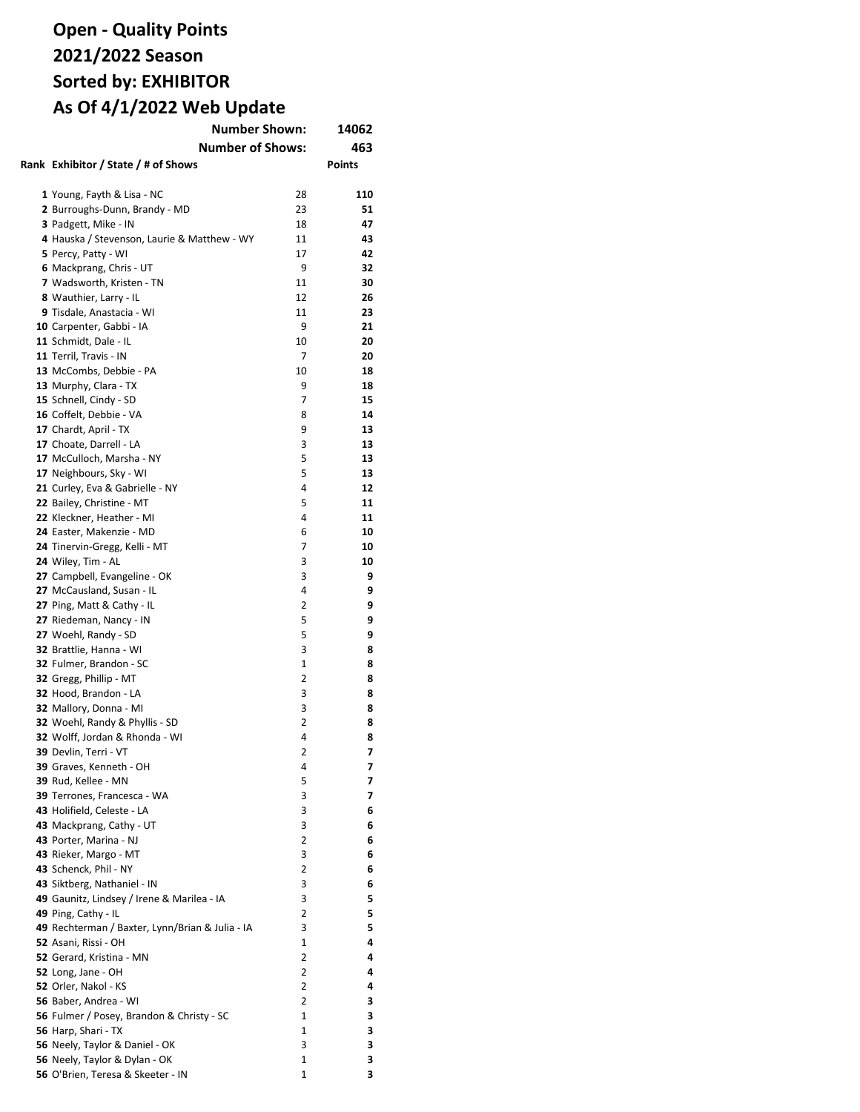| <b>Number Shown:</b>                                 | 14062          |               |
|------------------------------------------------------|----------------|---------------|
| <b>Number of Shows:</b>                              |                | 463           |
| Rank Exhibitor / State / # of Shows                  |                | <b>Points</b> |
|                                                      |                |               |
| 1 Young, Fayth & Lisa - NC                           | 28             | 110           |
| 2 Burroughs-Dunn, Brandy - MD                        | 23             | 51            |
| 3 Padgett, Mike - IN                                 | 18             | 47            |
|                                                      | 11             | 43            |
| 4 Hauska / Stevenson, Laurie & Matthew - WY          | 17             | 42            |
| 5 Percy, Patty - WI                                  | 9              | 32            |
| 6 Mackprang, Chris - UT<br>7 Wadsworth, Kristen - TN | 11             | 30            |
|                                                      |                |               |
| 8 Wauthier, Larry - IL                               | 12             | 26            |
| 9 Tisdale, Anastacia - WI                            | 11             | 23            |
| 10 Carpenter, Gabbi - IA                             | 9              | 21            |
| 11 Schmidt, Dale - IL                                | 10             | 20            |
| 11 Terril, Travis - IN                               | 7              | 20            |
| 13 McCombs, Debbie - PA                              | 10             | 18            |
| 13 Murphy, Clara - TX                                | 9              | 18            |
| 15 Schnell, Cindy - SD                               | 7              | 15            |
| 16 Coffelt, Debbie - VA                              | 8              | 14            |
| 17 Chardt, April - TX                                | 9              | 13            |
| 17 Choate, Darrell - LA                              | 3              | 13            |
| 17 McCulloch, Marsha - NY                            | 5              | 13            |
| 17 Neighbours, Sky - WI                              | 5              | 13            |
| 21 Curley, Eva & Gabrielle - NY                      | 4              | 12            |
| 22 Bailey, Christine - MT                            | 5              | 11            |
| 22 Kleckner, Heather - MI                            | 4              | 11            |
| 24 Easter, Makenzie - MD                             | 6              | 10            |
| 24 Tinervin-Gregg, Kelli - MT                        | 7              | 10            |
| 24 Wiley, Tim - AL                                   | 3              | 10            |
| 27 Campbell, Evangeline - OK                         | 3              | 9             |
| 27 McCausland, Susan - IL                            | 4              | 9             |
| 27 Ping, Matt & Cathy - IL                           | 2              | 9             |
| 27 Riedeman, Nancy - IN                              | 5              | 9             |
| 27 Woehl, Randy - SD                                 | 5              | 9             |
| 32 Brattlie, Hanna - WI                              | 3              | 8             |
| 32 Fulmer, Brandon - SC                              | 1              | 8             |
| 32 Gregg, Phillip - MT                               | 2              | 8             |
| 32 Hood, Brandon - LA                                | 3              | 8             |
| 32 Mallory, Donna - MI                               | 3              | 8             |
| 32 Woehl, Randy & Phyllis - SD                       | 2              | 8             |
| 32 Wolff, Jordan & Rhonda - WI                       | 4              | 8             |
| <b>39</b> Devlin, Terri - VT                         | 2              | 7             |
| 39 Graves, Kenneth - OH                              | 4              | 7             |
| 39 Rud, Kellee - MN                                  | 5              | 7             |
| 39 Terrones, Francesca - WA                          | 3              | 7             |
| 43 Holifield, Celeste - LA                           | 3              | 6             |
| 43 Mackprang, Cathy - UT                             | 3              | 6             |
| 43 Porter, Marina - NJ                               | $\overline{2}$ | 6             |
| 43 Rieker, Margo - MT                                | 3              | 6             |
| 43 Schenck, Phil - NY                                | 2              | 6             |
| 43 Siktberg, Nathaniel - IN                          | 3              | 6             |
| 49 Gaunitz, Lindsey / Irene & Marilea - IA           | 3              | 5             |
| 49 Ping, Cathy - IL                                  | 2              | 5             |
| 49 Rechterman / Baxter, Lynn/Brian & Julia - IA      | 3              | 5             |
| 52 Asani, Rissi - OH                                 | 1              | 4             |
| 52 Gerard, Kristina - MN                             | $\overline{2}$ | 4             |
| 52 Long, Jane - OH                                   | 2              | 4             |
| 52 Orler, Nakol - KS                                 | 2              | 4             |
| 56 Baber, Andrea - WI                                | 2              | 3             |
| 56 Fulmer / Posey, Brandon & Christy - SC            | $\mathbf{1}$   | 3             |
| 56 Harp, Shari - TX                                  | 1              | 3             |
| 56 Neely, Taylor & Daniel - OK                       | 3              | 3             |
| 56 Neely, Taylor & Dylan - OK                        | 1              | 3             |
| 56 O'Brien, Teresa & Skeeter - IN                    | 1              | 3             |